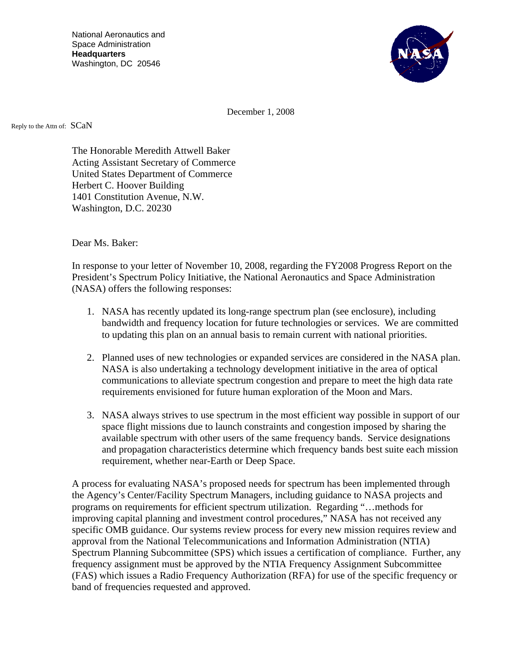National Aeronautics and Space Administration **Headquarters**  Washington, DC 20546



December 1, 2008

Reply to the Attn of: SCaN

The Honorable Meredith Attwell Baker Acting Assistant Secretary of Commerce United States Department of Commerce Herbert C. Hoover Building 1401 Constitution Avenue, N.W. Washington, D.C. 20230

Dear Ms. Baker:

In response to your letter of November 10, 2008, regarding the FY2008 Progress Report on the President's Spectrum Policy Initiative, the National Aeronautics and Space Administration (NASA) offers the following responses:

- 1. NASA has recently updated its long-range spectrum plan (see enclosure), including bandwidth and frequency location for future technologies or services. We are committed to updating this plan on an annual basis to remain current with national priorities.
- 2. Planned uses of new technologies or expanded services are considered in the NASA plan. NASA is also undertaking a technology development initiative in the area of optical communications to alleviate spectrum congestion and prepare to meet the high data rate requirements envisioned for future human exploration of the Moon and Mars.
- 3. NASA always strives to use spectrum in the most efficient way possible in support of our space flight missions due to launch constraints and congestion imposed by sharing the available spectrum with other users of the same frequency bands. Service designations and propagation characteristics determine which frequency bands best suite each mission requirement, whether near-Earth or Deep Space.

A process for evaluating NASA's proposed needs for spectrum has been implemented through the Agency's Center/Facility Spectrum Managers, including guidance to NASA projects and programs on requirements for efficient spectrum utilization. Regarding "…methods for improving capital planning and investment control procedures," NASA has not received any specific OMB guidance. Our systems review process for every new mission requires review and approval from the National Telecommunications and Information Administration (NTIA) Spectrum Planning Subcommittee (SPS) which issues a certification of compliance. Further, any frequency assignment must be approved by the NTIA Frequency Assignment Subcommittee (FAS) which issues a Radio Frequency Authorization (RFA) for use of the specific frequency or band of frequencies requested and approved.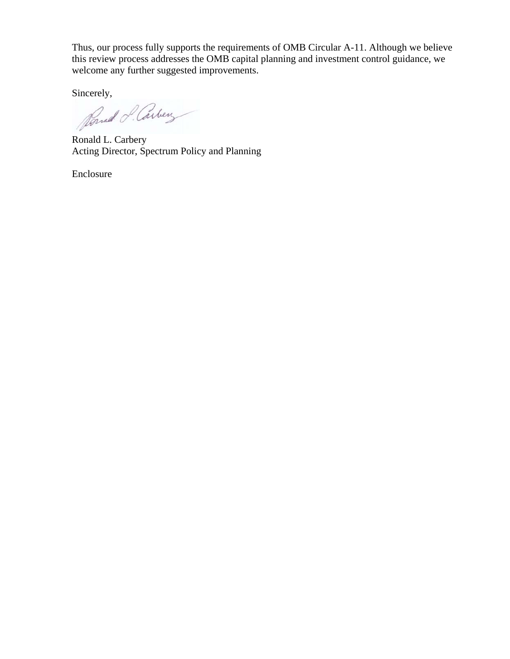Thus, our process fully supports the requirements of OMB Circular A-11. Although we believe this review process addresses the OMB capital planning and investment control guidance, we welcome any further suggested improvements.

Sincerely,

Ronald L. Carbery Acting Director, Spectrum Policy and Planning

Enclosure